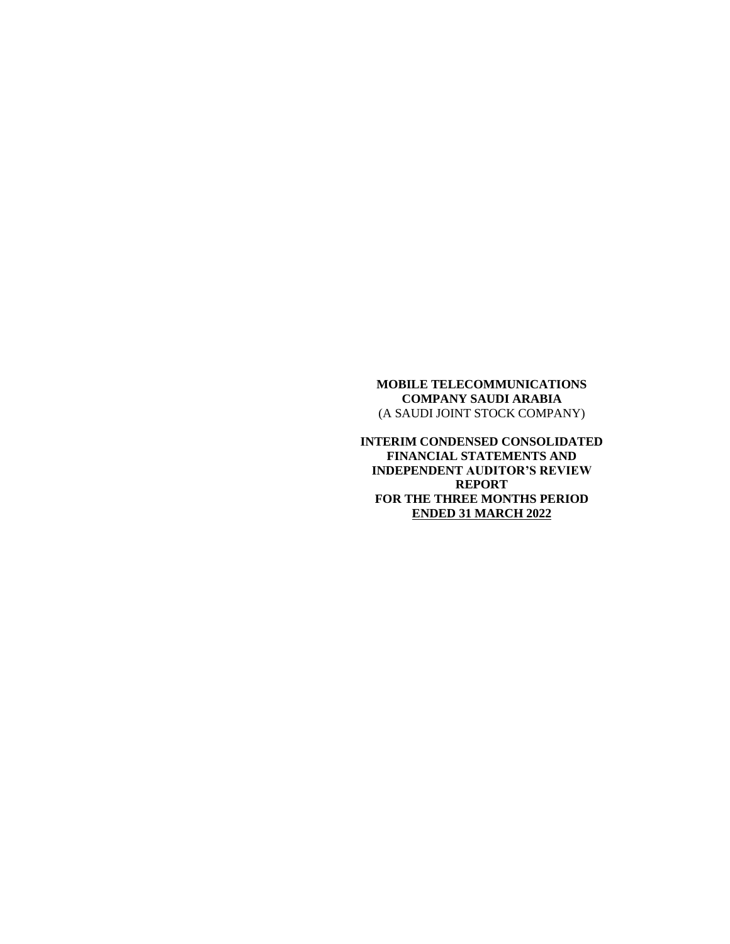**INTERIM CONDENSED CONSOLIDATED FINANCIAL STATEMENTS AND INDEPENDENT AUDITOR'S REVIEW REPORT FOR THE THREE MONTHS PERIOD ENDED 31 MARCH 2022**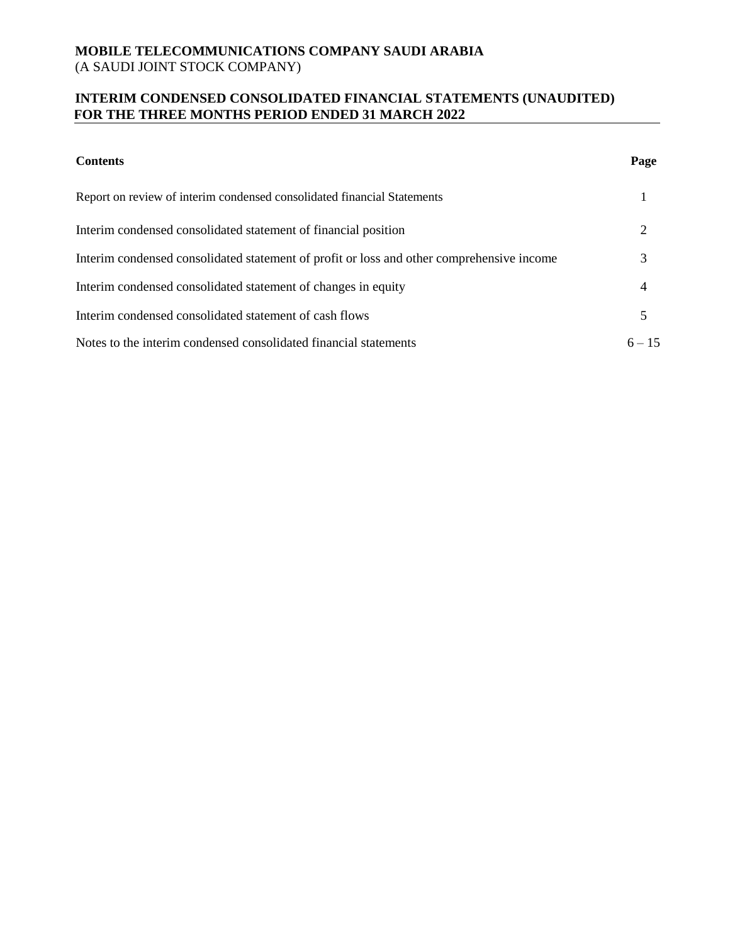# **INTERIM CONDENSED CONSOLIDATED FINANCIAL STATEMENTS (UNAUDITED) FOR THE THREE MONTHS PERIOD ENDED 31 MARCH 2022**

| <b>Contents</b>                                                                           | Page     |
|-------------------------------------------------------------------------------------------|----------|
| Report on review of interim condensed consolidated financial Statements                   |          |
| Interim condensed consolidated statement of financial position                            | 2        |
| Interim condensed consolidated statement of profit or loss and other comprehensive income | 3        |
| Interim condensed consolidated statement of changes in equity                             | 4        |
| Interim condensed consolidated statement of cash flows                                    | 5        |
| Notes to the interim condensed consolidated financial statements                          | $6 - 15$ |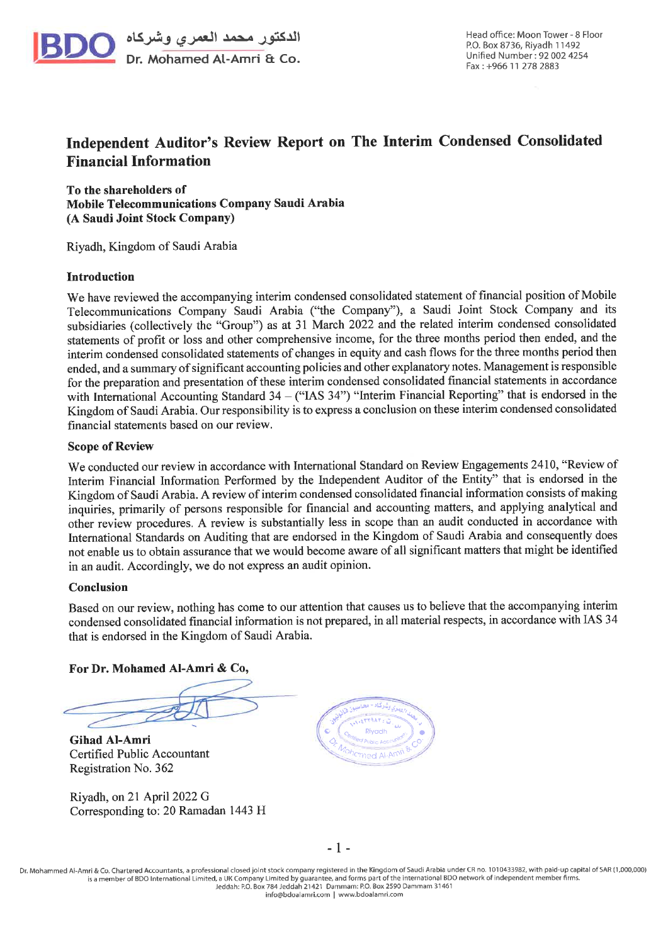

# Independent Auditor's Review Report on The Interim Condensed Consolidated **Financial Information**

To the shareholders of Mobile Telecommunications Company Saudi Arabia (A Saudi Joint Stock Company)

Riyadh, Kingdom of Saudi Arabia

#### **Introduction**

We have reviewed the accompanying interim condensed consolidated statement of financial position of Mobile Telecommunications Company Saudi Arabia ("the Company"), a Saudi Joint Stock Company and its subsidiaries (collectively the "Group") as at 31 March 2022 and the related interim condensed consolidated statements of profit or loss and other comprehensive income, for the three months period then ended, and the interim condensed consolidated statements of changes in equity and cash flows for the three months period then ended, and a summary of significant accounting policies and other explanatory notes. Management is responsible for the preparation and presentation of these interim condensed consolidated financial statements in accordance with International Accounting Standard  $34 -$  ("IAS  $34$ ") "Interim Financial Reporting" that is endorsed in the Kingdom of Saudi Arabia. Our responsibility is to express a conclusion on these interim condensed consolidated financial statements based on our review.

#### **Scope of Review**

We conducted our review in accordance with International Standard on Review Engagements 2410, "Review of Interim Financial Information Performed by the Independent Auditor of the Entity" that is endorsed in the Kingdom of Saudi Arabia. A review of interim condensed consolidated financial information consists of making inquiries, primarily of persons responsible for financial and accounting matters, and applying analytical and other review procedures. A review is substantially less in scope than an audit conducted in accordance with International Standards on Auditing that are endorsed in the Kingdom of Saudi Arabia and consequently does not enable us to obtain assurance that we would become aware of all significant matters that might be identified in an audit. Accordingly, we do not express an audit opinion.

#### Conclusion

Based on our review, nothing has come to our attention that causes us to believe that the accompanying interim condensed consolidated financial information is not prepared, in all material respects, in accordance with IAS 34 that is endorsed in the Kingdom of Saudi Arabia.

For Dr. Mohamed Al-Amri & Co,

**Gihad Al-Amri** Certified Public Accountant Registration No. 362

Riyadh, on 21 April 2022 G Corresponding to: 20 Ramadan 1443 H



 $-1-$ 

Dr. Mohammed Al-Amri & Co. Chartered Accountants, a professional closed joint stock company registered in the Kingdom of Saudi Arabia under CR no. 1010433982, with paid-up capital of SAR (1,000,000) is a member of BDO International Limited, a UK Company Limited by guarantee, and forms part of the international BDO network of independent member firms Jeddah: P.O. Box 784 Jeddah 21421 Dammam: P.O. Box 2590 Dammam 31461<br>info@bdoalamri.com | www.bdoalamri.com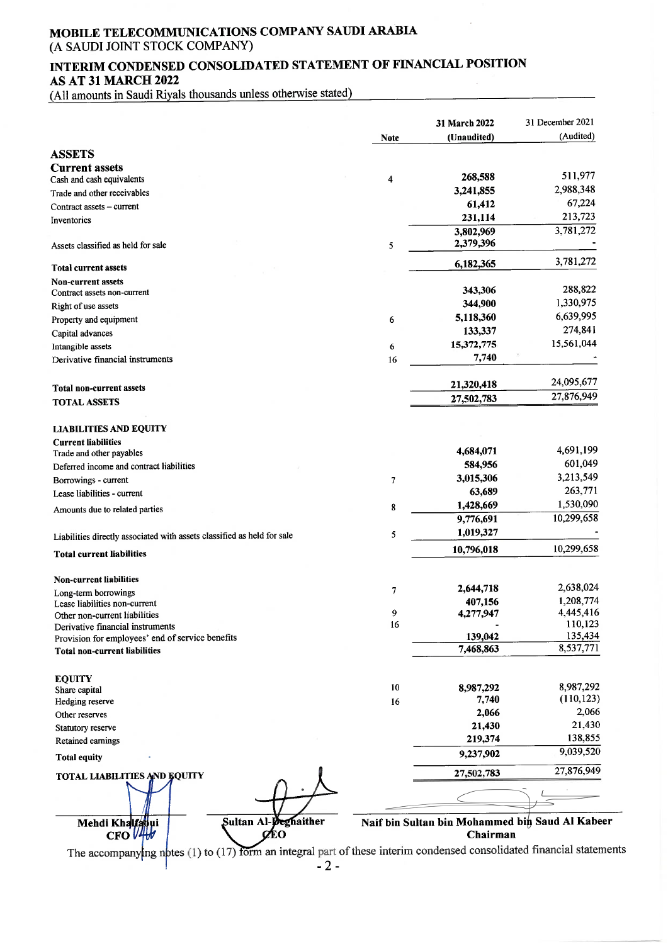# INTERIM CONDENSED CONSOLIDATED STATEMENT OF FINANCIAL POSITION AS AT 31 MARCH 2022

(All amounts in Saudi Riyals thousands unless otherwise stated)

|                                                                         |             | 31 March 2022 | 31 December 2021     |
|-------------------------------------------------------------------------|-------------|---------------|----------------------|
|                                                                         | <b>Note</b> | (Unaudited)   | (Audited)            |
| <b>ASSETS</b>                                                           |             |               |                      |
| <b>Current assets</b>                                                   |             |               |                      |
| Cash and cash equivalents                                               | 4           | 268,588       | 511,977              |
| Trade and other receivables                                             |             | 3,241,855     | 2,988,348            |
| Contract assets – current                                               |             | 61,412        | 67,224               |
| Inventories                                                             |             | 231,114       | 213,723              |
|                                                                         |             | 3,802,969     | 3,781,272            |
| Assets classified as held for sale                                      | 5           | 2,379,396     |                      |
| <b>Total current assets</b>                                             |             | 6,182,365     | 3,781,272            |
| <b>Non-current assets</b>                                               |             |               |                      |
| Contract assets non-current                                             |             | 343,306       | 288,822              |
| Right of use assets                                                     |             | 344,900       | 1,330,975            |
| Property and equipment                                                  | 6           | 5,118,360     | 6,639,995            |
| Capital advances                                                        |             | 133,337       | 274,841              |
| Intangible assets                                                       | 6           | 15,372,775    | 15,561,044           |
| Derivative financial instruments                                        | 16          | 7,740         |                      |
|                                                                         |             | 21,320,418    | 24,095,677           |
| <b>Total non-current assets</b>                                         |             | 27,502,783    | 27,876,949           |
| <b>TOTAL ASSETS</b>                                                     |             |               |                      |
| <b>LIABILITIES AND EQUITY</b>                                           |             |               |                      |
| <b>Current liabilities</b>                                              |             |               |                      |
| Trade and other payables                                                |             | 4,684,071     | 4,691,199            |
| Deferred income and contract liabilities                                |             | 584,956       | 601,049              |
| Borrowings - current                                                    | 7           | 3,015,306     | 3,213,549            |
| Lease liabilities - current                                             |             | 63,689        | 263,771              |
| Amounts due to related parties                                          | 8           | 1,428,669     | 1,530,090            |
|                                                                         |             | 9,776,691     | 10,299,658           |
| Liabilities directly associated with assets classified as held for sale | 5           | 1,019,327     |                      |
| <b>Total current liabilities</b>                                        |             | 10,796,018    | 10,299,658           |
| <b>Non-current liabilities</b>                                          |             |               |                      |
| Long-term borrowings                                                    | 7           | 2,644,718     | 2,638,024            |
| Lease liabilities non-current                                           |             | 407,156       | 1,208,774            |
| Other non-current liabilities                                           | $\mathbf Q$ | 4,277,947     | 4,445,416            |
| Derivative financial instruments                                        | 16          |               | 110,123              |
| Provision for employees' end of service benefits                        |             | 139,042       | 135,434<br>8,537,771 |
| <b>Total non-current liabilities</b>                                    |             | 7,468,863     |                      |
| <b>EQUITY</b>                                                           |             |               |                      |
| Share capital                                                           | 10          | 8,987,292     | 8,987,292            |
| Hedging reserve                                                         | 16          | 7,740         | (110, 123)           |
| Other reserves                                                          |             | 2,066         | 2,066                |
| Statutory reserve                                                       |             | 21,430        | 21,430               |
| Retained earnings                                                       |             | 219,374       | 138,855<br>9,039,520 |
| <b>Total equity</b>                                                     |             | 9,237,902     |                      |
| <b>TOTAL LIABILITIES AND EQUITY</b>                                     |             | 27,502,783    | 27,876,949           |
|                                                                         |             |               |                      |
|                                                                         |             |               |                      |

The accompanying notes (1) to (17) form an integral part of these interim condensed consolidated financial statements  $-2$ -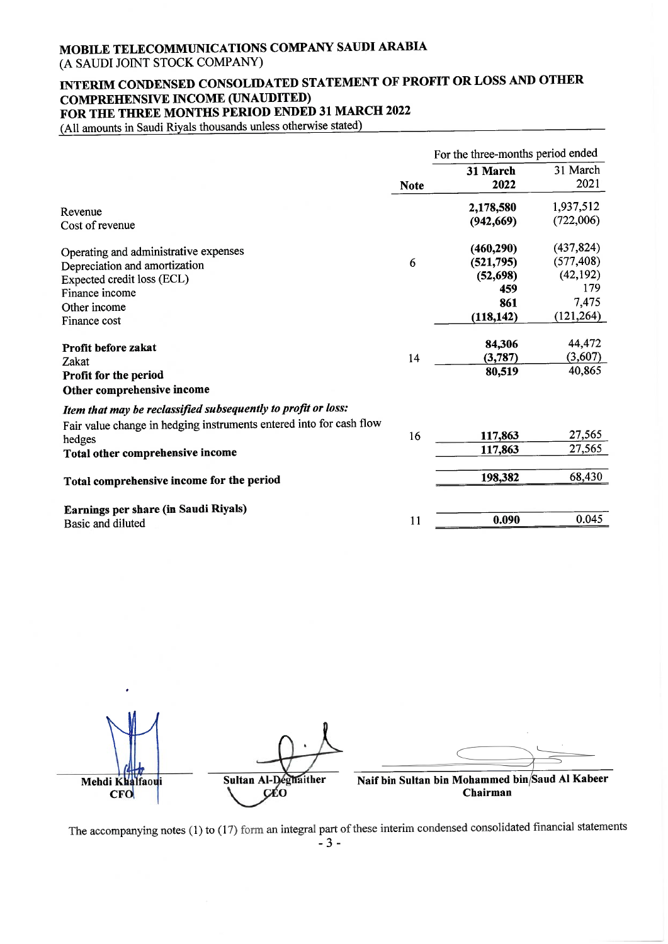# MOBILE TELECOMMUNICATIONS COMPANY SAUDI ARABIA

(A SAUDI JOINT STOCK COMPANY)

# INTERIM CONDENSED CONSOLIDATED STATEMENT OF PROFIT OR LOSS AND OTHER **COMPREHENSIVE INCOME (UNAUDITED)** FOR THE THREE MONTHS PERIOD ENDED 31 MARCH 2022

(All amounts in Saudi Riyals thousands unless otherwise stated)

|                                                                               |             | For the three-months period ended |            |
|-------------------------------------------------------------------------------|-------------|-----------------------------------|------------|
|                                                                               |             | 31 March                          | 31 March   |
|                                                                               | <b>Note</b> | 2022                              | 2021       |
| Revenue                                                                       |             | 2,178,580                         | 1,937,512  |
| Cost of revenue                                                               |             | (942, 669)                        | (722,006)  |
| Operating and administrative expenses                                         |             | (460, 290)                        | (437, 824) |
| Depreciation and amortization                                                 | 6           | (521, 795)                        | (577, 408) |
| Expected credit loss (ECL)                                                    |             | (52, 698)                         | (42, 192)  |
| Finance income                                                                |             | 459                               | 179        |
| Other income                                                                  |             | 861                               | 7,475      |
| Finance cost                                                                  |             | (118, 142)                        | (121, 264) |
|                                                                               |             |                                   |            |
| Profit before zakat                                                           |             | 84,306                            | 44,472     |
| Zakat                                                                         | 14          | (3,787)                           | (3,607)    |
| Profit for the period                                                         |             | 80,519                            | 40,865     |
| Other comprehensive income                                                    |             |                                   |            |
| Item that may be reclassified subsequently to profit or loss:                 |             |                                   |            |
| Fair value change in hedging instruments entered into for cash flow<br>hedges | 16          | 117,863                           | 27,565     |
| Total other comprehensive income                                              |             | 117,863                           | 27,565     |
|                                                                               |             |                                   |            |
| Total comprehensive income for the period                                     |             | 198,382                           | 68,430     |
|                                                                               |             |                                   |            |
| Earnings per share (in Saudi Riyals)<br>Basic and diluted                     | 11          | 0.090                             | 0.045      |
|                                                                               |             |                                   |            |

Naif bin Sultan bin Mohammed bin/Saud Al Kabeer Sultan Al-Deghaither Mehdi Khalfaoui CÉO Chairman **CFO** 

The accompanying notes (1) to (17) form an integral part of these interim condensed consolidated financial statements  $-3-$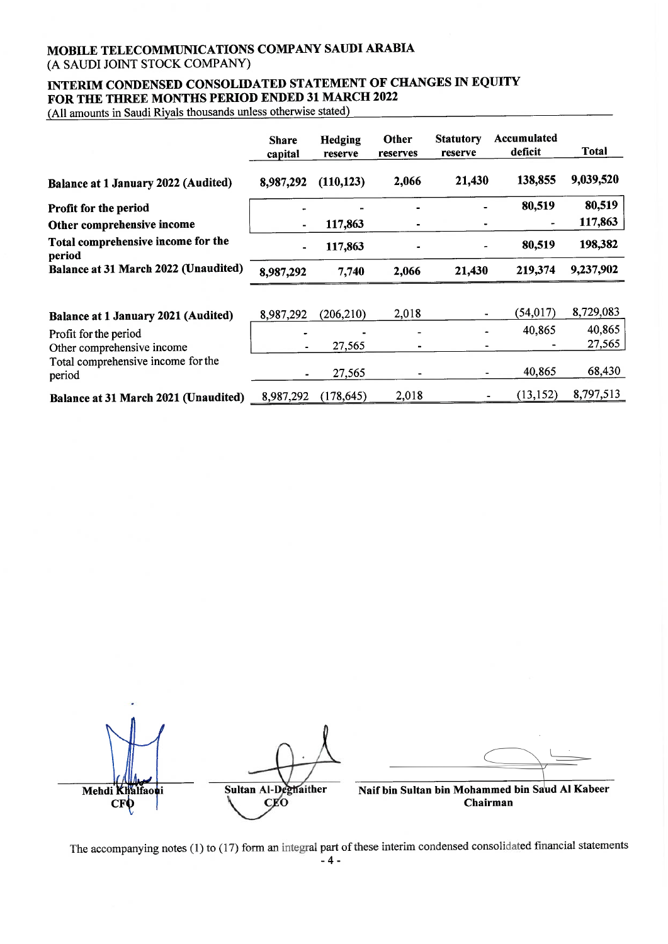# INTERIM CONDENSED CONSOLIDATED STATEMENT OF CHANGES IN EQUITY FOR THE THREE MONTHS PERIOD ENDED 31 MARCH 2022

(All amounts in Saudi Riyals thousands unless otherwise stated)

|                                              | <b>Share</b><br>capital | Hedging<br>reserve | Other<br>reserves | <b>Statutory</b><br>reserve | Accumulated<br>deficit | Total     |
|----------------------------------------------|-------------------------|--------------------|-------------------|-----------------------------|------------------------|-----------|
| Balance at 1 January 2022 (Audited)          | 8,987,292               | (110, 123)         | 2,066             | 21,430                      | 138,855                | 9,039,520 |
| <b>Profit for the period</b>                 |                         |                    |                   |                             | 80,519                 | 80,519    |
| Other comprehensive income                   |                         | 117,863            |                   |                             |                        | 117,863   |
| Total comprehensive income for the<br>period | $\blacksquare$          | 117,863            |                   |                             | 80,519                 | 198,382   |
| Balance at 31 March 2022 (Unaudited)         | 8,987,292               | 7,740              | 2,066             | 21,430                      | 219,374                | 9,237,902 |
|                                              |                         |                    |                   |                             |                        |           |
| Balance at 1 January 2021 (Audited)          | 8,987,292               | (206, 210)         | 2,018             |                             | (54, 017)              | 8,729,083 |
| Profit for the period                        |                         |                    |                   |                             | 40,865                 | 40,865    |
| Other comprehensive income                   |                         | 27,565             |                   |                             |                        | 27,565    |
| Total comprehensive income for the<br>period |                         | 27,565             |                   |                             | 40,865                 | 68,430    |
| Balance at 31 March 2021 (Unaudited)         | 8,987,292               | (178, 645)         | 2,018             |                             | (13, 152)              | 8,797,513 |

Sultan Al-Deghaither Naif bin Sultan bin Mohammed bin Saud Al Kabeer Mehdi Khalfaoui CEO Chairman **CFO** 

The accompanying notes (1) to (17) form an integral part of these interim condensed consolidated financial statements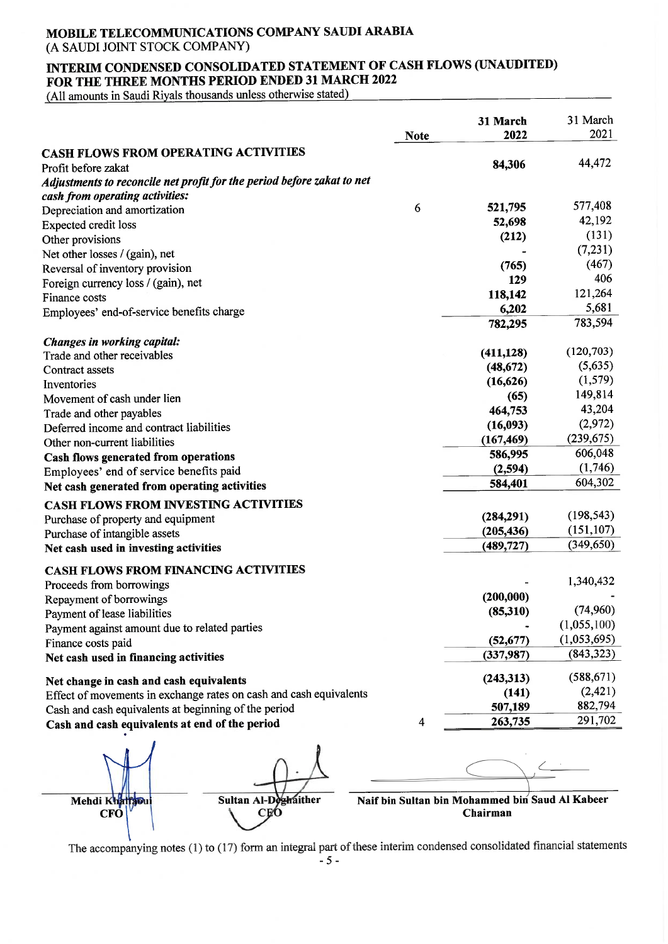# INTERIM CONDENSED CONSOLIDATED STATEMENT OF CASH FLOWS (UNAUDITED) FOR THE THREE MONTHS PERIOD ENDED 31 MARCH 2022

(All amounts in Saudi Riyals thousands unless otherwise stated)

|                                                                        | <b>Note</b> | 31 March<br>2022 | 31 March<br>2021 |
|------------------------------------------------------------------------|-------------|------------------|------------------|
| <b>CASH FLOWS FROM OPERATING ACTIVITIES</b>                            |             |                  |                  |
| Profit before zakat                                                    |             | 84,306           | 44,472           |
| Adjustments to reconcile net profit for the period before zakat to net |             |                  |                  |
| cash from operating activities:                                        |             |                  |                  |
| Depreciation and amortization                                          | 6           | 521,795          | 577,408          |
| <b>Expected credit loss</b>                                            |             | 52,698           | 42,192           |
| Other provisions                                                       |             | (212)            | (131)            |
| Net other losses / (gain), net                                         |             |                  | (7,231)          |
| Reversal of inventory provision                                        |             | (765)            | (467)            |
| Foreign currency loss / (gain), net                                    |             | 129              | 406              |
| Finance costs                                                          |             | 118,142          | 121,264          |
| Employees' end-of-service benefits charge                              |             | 6,202            | 5,681            |
|                                                                        |             | 782,295          | 783,594          |
|                                                                        |             |                  |                  |
| Changes in working capital:<br>Trade and other receivables             |             | (411, 128)       | (120, 703)       |
| Contract assets                                                        |             | (48, 672)        | (5,635)          |
| Inventories                                                            |             | (16, 626)        | (1, 579)         |
| Movement of cash under lien                                            |             | (65)             | 149,814          |
| Trade and other payables                                               |             | 464,753          | 43,204           |
| Deferred income and contract liabilities                               |             | (16, 093)        | (2,972)          |
| Other non-current liabilities                                          |             | (167, 469)       | (239, 675)       |
| Cash flows generated from operations                                   |             | 586,995          | 606,048          |
| Employees' end of service benefits paid                                |             | (2,594)          | (1,746)          |
| Net cash generated from operating activities                           |             | 584,401          | 604,302          |
| CASH FLOWS FROM INVESTING ACTIVITIES                                   |             |                  |                  |
| Purchase of property and equipment                                     |             | (284,291)        | (198, 543)       |
| Purchase of intangible assets                                          |             | (205, 436)       | (151, 107)       |
| Net cash used in investing activities                                  |             | (489, 727)       | (349, 650)       |
|                                                                        |             |                  |                  |
| CASH FLOWS FROM FINANCING ACTIVITIES<br>Proceeds from borrowings       |             |                  | 1,340,432        |
| Repayment of borrowings                                                |             | (200,000)        |                  |
| Payment of lease liabilities                                           |             | (85,310)         | (74,960)         |
| Payment against amount due to related parties                          |             |                  | (1,055,100)      |
| Finance costs paid                                                     |             | (52, 677)        | (1,053,695)      |
| Net cash used in financing activities                                  |             | (337,987)        | (843, 323)       |
|                                                                        |             |                  |                  |
| Net change in cash and cash equivalents                                |             | (243, 313)       | (588, 671)       |
| Effect of movements in exchange rates on cash and cash equivalents     |             | (141)            | (2,421)          |
| Cash and cash equivalents at beginning of the period                   |             | 507,189          | 882,794          |
| Cash and cash equivalents at end of the period                         | 4           | 263,735          | 291,702          |





Naif bin Sultan bin Mohammed bin Saud Al Kabeer Chairman

The accompanying notes  $(1)$  to  $(17)$  form an integral part of these interim condensed consolidated financial statements  $-5-$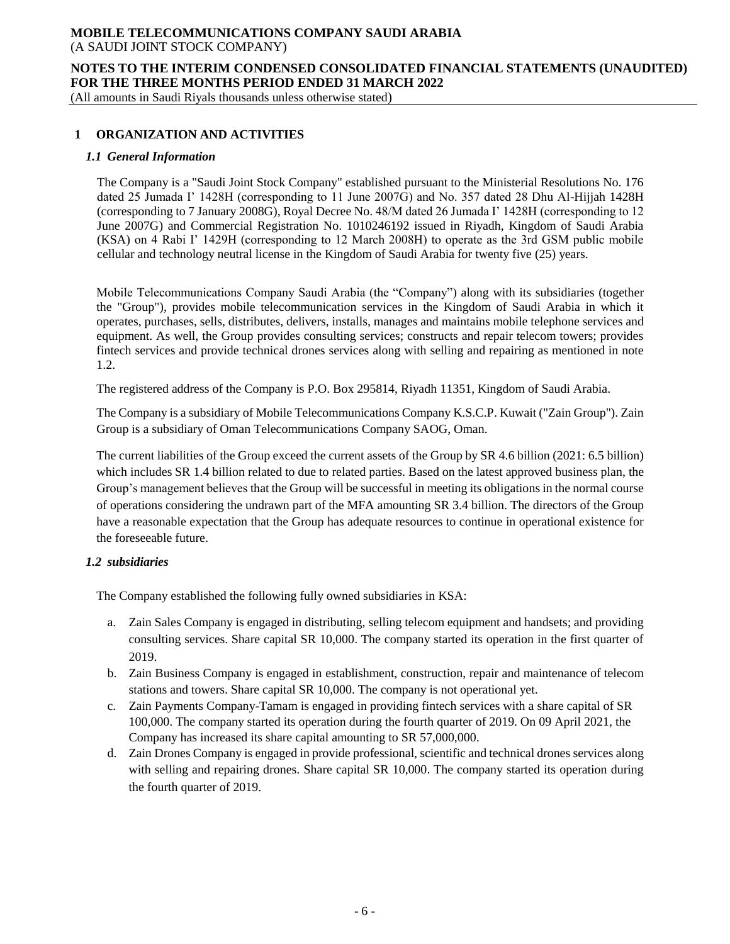# **NOTES TO THE INTERIM CONDENSED CONSOLIDATED FINANCIAL STATEMENTS (UNAUDITED) FOR THE THREE MONTHS PERIOD ENDED 31 MARCH 2022**

(All amounts in Saudi Riyals thousands unless otherwise stated)

# **1 ORGANIZATION AND ACTIVITIES**

#### *1.1 General Information*

The Company is a "Saudi Joint Stock Company" established pursuant to the Ministerial Resolutions No. 176 dated 25 Jumada I' 1428H (corresponding to 11 June 2007G) and No. 357 dated 28 Dhu Al-Hijjah 1428H (corresponding to 7 January 2008G), Royal Decree No. 48/M dated 26 Jumada I' 1428H (corresponding to 12 June 2007G) and Commercial Registration No. 1010246192 issued in Riyadh, Kingdom of Saudi Arabia (KSA) on 4 Rabi I' 1429H (corresponding to 12 March 2008H) to operate as the 3rd GSM public mobile cellular and technology neutral license in the Kingdom of Saudi Arabia for twenty five (25) years.

Mobile Telecommunications Company Saudi Arabia (the "Company") along with its subsidiaries (together the "Group"), provides mobile telecommunication services in the Kingdom of Saudi Arabia in which it operates, purchases, sells, distributes, delivers, installs, manages and maintains mobile telephone services and equipment. As well, the Group provides consulting services; constructs and repair telecom towers; provides fintech services and provide technical drones services along with selling and repairing as mentioned in note 1.2.

The registered address of the Company is P.O. Box 295814, Riyadh 11351, Kingdom of Saudi Arabia.

The Company is a subsidiary of Mobile Telecommunications Company K.S.C.P. Kuwait ("Zain Group"). Zain Group is a subsidiary of Oman Telecommunications Company SAOG, Oman.

The current liabilities of the Group exceed the current assets of the Group by SR 4.6 billion (2021: 6.5 billion) which includes SR 1.4 billion related to due to related parties. Based on the latest approved business plan, the Group's management believes that the Group will be successful in meeting its obligations in the normal course of operations considering the undrawn part of the MFA amounting SR 3.4 billion. The directors of the Group have a reasonable expectation that the Group has adequate resources to continue in operational existence for the foreseeable future.

# *1.2 subsidiaries*

The Company established the following fully owned subsidiaries in KSA:

- a. Zain Sales Company is engaged in distributing, selling telecom equipment and handsets; and providing consulting services. Share capital SR 10,000. The company started its operation in the first quarter of 2019.
- b. Zain Business Company is engaged in establishment, construction, repair and maintenance of telecom stations and towers. Share capital SR 10,000. The company is not operational yet.
- c. Zain Payments Company-Tamam is engaged in providing fintech services with a share capital of SR 100,000. The company started its operation during the fourth quarter of 2019. On 09 April 2021, the Company has increased its share capital amounting to SR 57,000,000.
- d. Zain Drones Company is engaged in provide professional, scientific and technical drones services along with selling and repairing drones. Share capital SR 10,000. The company started its operation during the fourth quarter of 2019.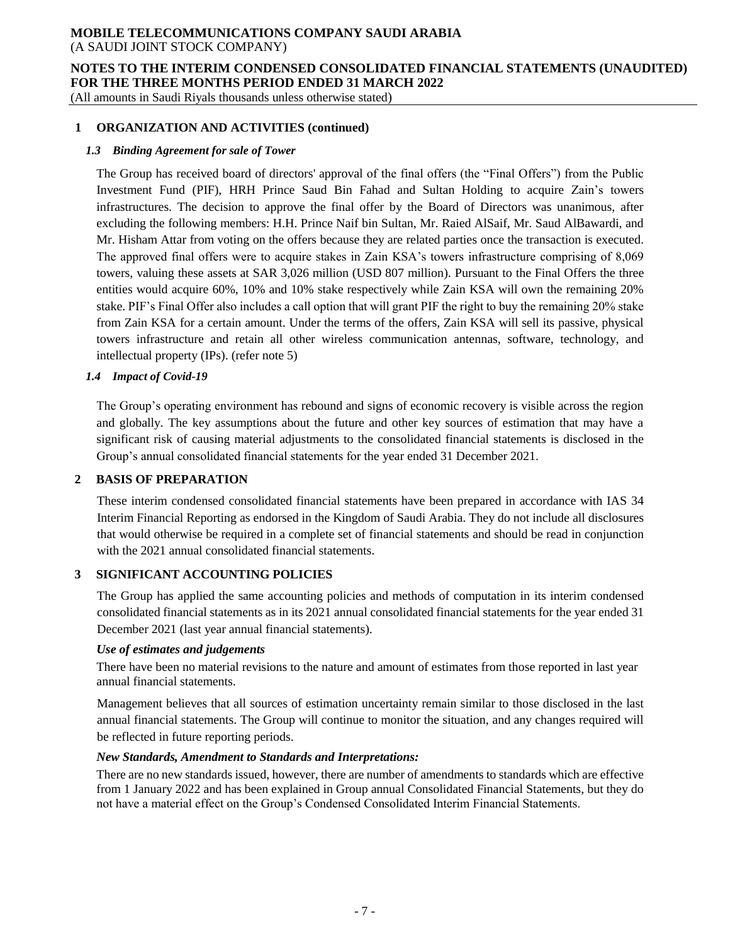# **MOBILE TELECOMMUNICATIONS COMPANY SAUDI ARABIA**

(A SAUDI JOINT STOCK COMPANY)

# **NOTES TO THE INTERIM CONDENSED CONSOLIDATED FINANCIAL STATEMENTS (UNAUDITED) FOR THE THREE MONTHS PERIOD ENDED 31 MARCH 2022**

(All amounts in Saudi Riyals thousands unless otherwise stated)

# **1 ORGANIZATION AND ACTIVITIES (continued)**

## *1.3 Binding Agreement for sale of Tower*

The Group has received board of directors' approval of the final offers (the "Final Offers") from the Public Investment Fund (PIF), HRH Prince Saud Bin Fahad and Sultan Holding to acquire Zain's towers infrastructures. The decision to approve the final offer by the Board of Directors was unanimous, after excluding the following members: H.H. Prince Naif bin Sultan, Mr. Raied AlSaif, Mr. Saud AlBawardi, and Mr. Hisham Attar from voting on the offers because they are related parties once the transaction is executed. The approved final offers were to acquire stakes in Zain KSA's towers infrastructure comprising of 8,069 towers, valuing these assets at SAR 3,026 million (USD 807 million). Pursuant to the Final Offers the three entities would acquire 60%, 10% and 10% stake respectively while Zain KSA will own the remaining 20% stake. PIF's Final Offer also includes a call option that will grant PIF the right to buy the remaining 20% stake from Zain KSA for a certain amount. Under the terms of the offers, Zain KSA will sell its passive, physical towers infrastructure and retain all other wireless communication antennas, software, technology, and intellectual property (IPs). (refer note 5)

#### *1.4 Impact of Covid-19*

The Group's operating environment has rebound and signs of economic recovery is visible across the region and globally. The key assumptions about the future and other key sources of estimation that may have a significant risk of causing material adjustments to the consolidated financial statements is disclosed in the Group's annual consolidated financial statements for the year ended 31 December 2021.

# **2 BASIS OF PREPARATION**

These interim condensed consolidated financial statements have been prepared in accordance with IAS 34 Interim Financial Reporting as endorsed in the Kingdom of Saudi Arabia. They do not include all disclosures that would otherwise be required in a complete set of financial statements and should be read in conjunction with the 2021 annual consolidated financial statements.

# **3 SIGNIFICANT ACCOUNTING POLICIES**

The Group has applied the same accounting policies and methods of computation in its interim condensed consolidated financial statements as in its 2021 annual consolidated financial statements for the year ended 31 December 2021 (last year annual financial statements).

#### *Use of estimates and judgements*

There have been no material revisions to the nature and amount of estimates from those reported in last year annual financial statements.

Management believes that all sources of estimation uncertainty remain similar to those disclosed in the last annual financial statements. The Group will continue to monitor the situation, and any changes required will be reflected in future reporting periods.

#### *New Standards, Amendment to Standards and Interpretations:*

There are no new standards issued, however, there are number of amendments to standards which are effective from 1 January 2022 and has been explained in Group annual Consolidated Financial Statements, but they do not have a material effect on the Group's Condensed Consolidated Interim Financial Statements.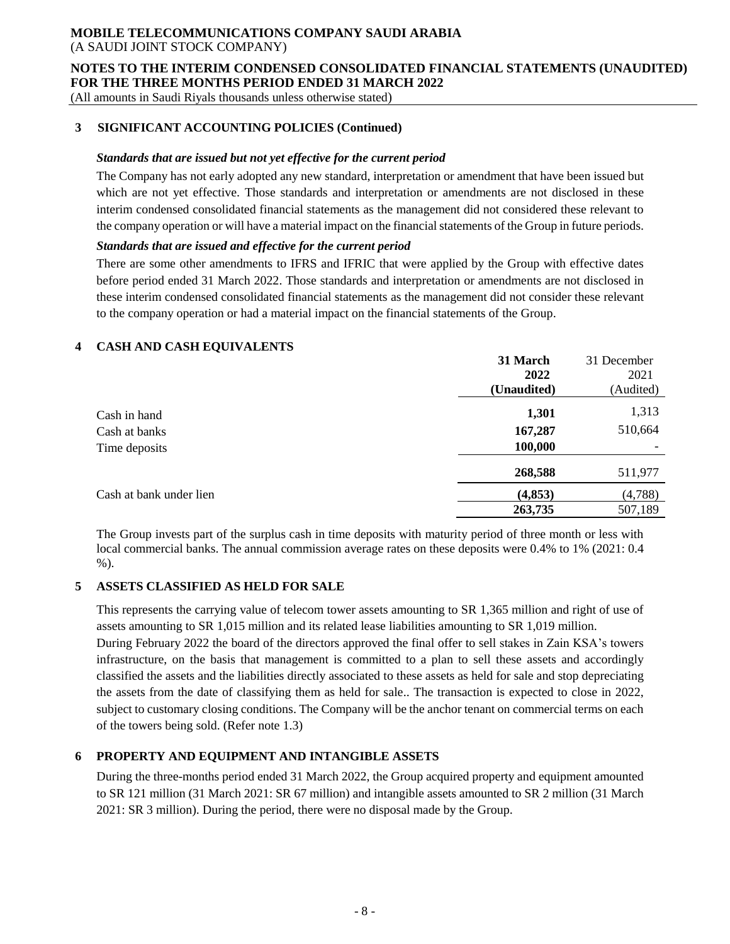# **NOTES TO THE INTERIM CONDENSED CONSOLIDATED FINANCIAL STATEMENTS (UNAUDITED) FOR THE THREE MONTHS PERIOD ENDED 31 MARCH 2022**

(All amounts in Saudi Riyals thousands unless otherwise stated)

# **3****SIGNIFICANT ACCOUNTING POLICIES (Continued)**

## *Standards that are issued but not yet effective for the current period*

The Company has not early adopted any new standard, interpretation or amendment that have been issued but which are not yet effective. Those standards and interpretation or amendments are not disclosed in these interim condensed consolidated financial statements as the management did not considered these relevant to the company operation or will have a material impact on the financial statements of the Group in future periods.

### *Standards that are issued and effective for the current period*

There are some other amendments to IFRS and IFRIC that were applied by the Group with effective dates before period ended 31 March 2022. Those standards and interpretation or amendments are not disclosed in these interim condensed consolidated financial statements as the management did not consider these relevant to the company operation or had a material impact on the financial statements of the Group.

# **4 CASH AND CASH EQUIVALENTS**

|                         | 31 March    | 31 December |
|-------------------------|-------------|-------------|
|                         | 2022        | 2021        |
|                         | (Unaudited) | (Audited)   |
| Cash in hand            | 1,301       | 1,313       |
| Cash at banks           | 167,287     | 510,664     |
| Time deposits           | 100,000     |             |
|                         | 268,588     | 511,977     |
| Cash at bank under lien | (4, 853)    | (4,788)     |
|                         | 263,735     | 507,189     |

The Group invests part of the surplus cash in time deposits with maturity period of three month or less with local commercial banks. The annual commission average rates on these deposits were 0.4% to 1% (2021: 0.4 %).

# **5 ASSETS CLASSIFIED AS HELD FOR SALE**

This represents the carrying value of telecom tower assets amounting to SR 1,365 million and right of use of assets amounting to SR 1,015 million and its related lease liabilities amounting to SR 1,019 million. During February 2022 the board of the directors approved the final offer to sell stakes in Zain KSA's towers infrastructure, on the basis that management is committed to a plan to sell these assets and accordingly classified the assets and the liabilities directly associated to these assets as held for sale and stop depreciating the assets from the date of classifying them as held for sale.. The transaction is expected to close in 2022, subject to customary closing conditions. The Company will be the anchor tenant on commercial terms on each of the towers being sold. (Refer note 1.3)

# **6 PROPERTY AND EQUIPMENT AND INTANGIBLE ASSETS**

During the three-months period ended 31 March 2022, the Group acquired property and equipment amounted to SR 121 million (31 March 2021: SR 67 million) and intangible assets amounted to SR 2 million (31 March 2021: SR 3 million). During the period, there were no disposal made by the Group.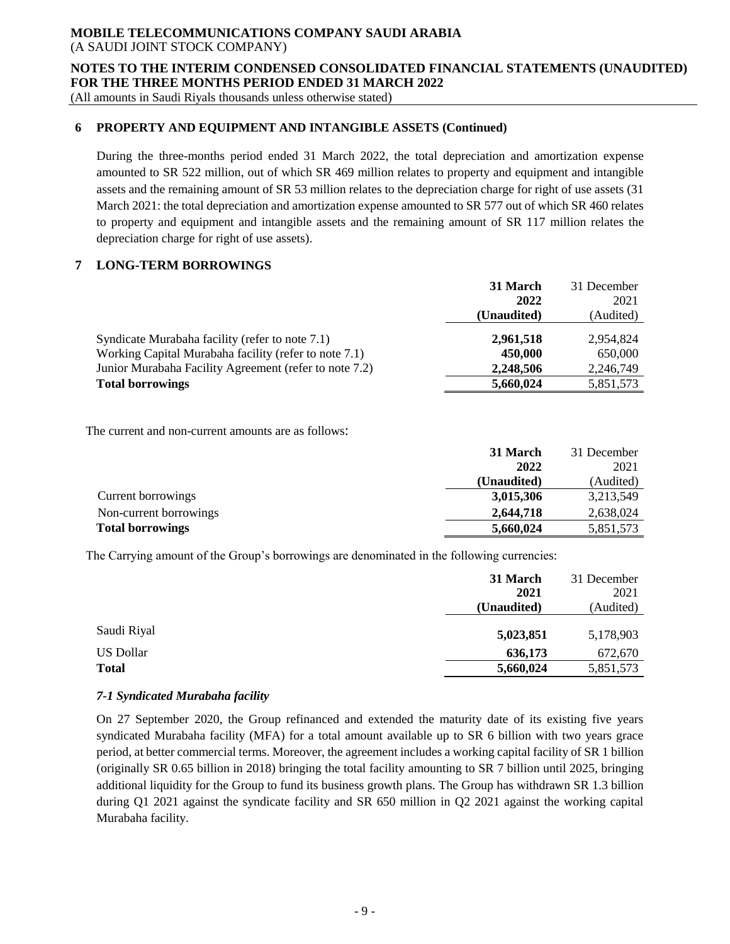#### **NOTES TO THE INTERIM CONDENSED CONSOLIDATED FINANCIAL STATEMENTS (UNAUDITED) FOR THE THREE MONTHS PERIOD ENDED 31 MARCH 2022**

(All amounts in Saudi Riyals thousands unless otherwise stated)

# **6 PROPERTY AND EQUIPMENT AND INTANGIBLE ASSETS (Continued)**

During the three-months period ended 31 March 2022, the total depreciation and amortization expense amounted to SR 522 million, out of which SR 469 million relates to property and equipment and intangible assets and the remaining amount of SR 53 million relates to the depreciation charge for right of use assets (31 March 2021: the total depreciation and amortization expense amounted to SR 577 out of which SR 460 relates to property and equipment and intangible assets and the remaining amount of SR 117 million relates the depreciation charge for right of use assets).

# **7 LONG-TERM BORROWINGS**

|                                                        | 31 March    | 31 December |
|--------------------------------------------------------|-------------|-------------|
|                                                        | 2022        | 2021        |
|                                                        | (Unaudited) | (Audited)   |
|                                                        |             |             |
| Syndicate Murabaha facility (refer to note 7.1)        | 2,961,518   | 2.954.824   |
| Working Capital Murabaha facility (refer to note 7.1)  | 450,000     | 650,000     |
| Junior Murabaha Facility Agreement (refer to note 7.2) | 2,248,506   | 2,246,749   |
| <b>Total borrowings</b>                                | 5,660,024   | 5,851,573   |

The current and non-current amounts are as follows:

|                         | 31 March    | 31 December |
|-------------------------|-------------|-------------|
|                         | 2022        | 2021        |
|                         | (Unaudited) | (Audited)   |
| Current borrowings      | 3,015,306   | 3,213,549   |
| Non-current borrowings  | 2,644,718   | 2.638,024   |
| <b>Total borrowings</b> | 5,660,024   | 5,851,573   |

The Carrying amount of the Group's borrowings are denominated in the following currencies:

|                  | 31 March    | 31 December |
|------------------|-------------|-------------|
|                  | 2021        | 2021        |
|                  | (Unaudited) | (Audited)   |
|                  |             |             |
| Saudi Riyal      | 5,023,851   | 5,178,903   |
| <b>US Dollar</b> | 636,173     | 672,670     |
| Total            | 5,660,024   | 5,851,573   |
|                  |             |             |

# *7-1 Syndicated Murabaha facility*

On 27 September 2020, the Group refinanced and extended the maturity date of its existing five years syndicated Murabaha facility (MFA) for a total amount available up to SR 6 billion with two years grace period, at better commercial terms. Moreover, the agreement includes a working capital facility of SR 1 billion (originally SR 0.65 billion in 2018) bringing the total facility amounting to SR 7 billion until 2025, bringing additional liquidity for the Group to fund its business growth plans. The Group has withdrawn SR 1.3 billion during Q1 2021 against the syndicate facility and SR 650 million in Q2 2021 against the working capital Murabaha facility.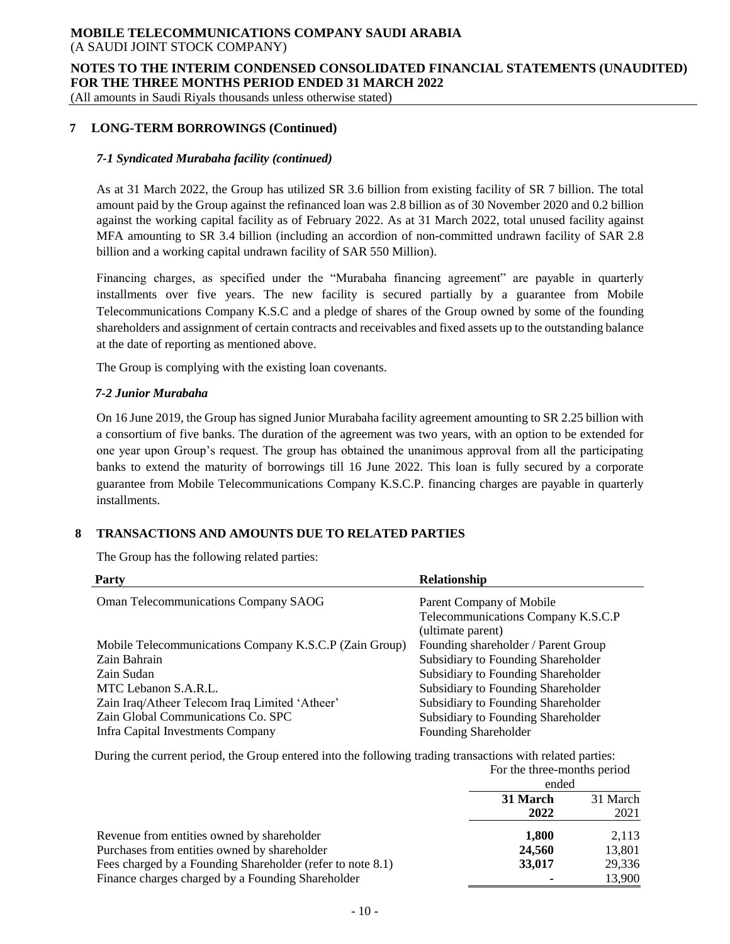**NOTES TO THE INTERIM CONDENSED CONSOLIDATED FINANCIAL STATEMENTS (UNAUDITED) FOR THE THREE MONTHS PERIOD ENDED 31 MARCH 2022**

(All amounts in Saudi Riyals thousands unless otherwise stated)

# **7 LONG-TERM BORROWINGS (Continued)**

## *7-1 Syndicated Murabaha facility (continued)*

As at 31 March 2022, the Group has utilized SR 3.6 billion from existing facility of SR 7 billion. The total amount paid by the Group against the refinanced loan was 2.8 billion as of 30 November 2020 and 0.2 billion against the working capital facility as of February 2022. As at 31 March 2022, total unused facility against MFA amounting to SR 3.4 billion (including an accordion of non-committed undrawn facility of SAR 2.8 billion and a working capital undrawn facility of SAR 550 Million).

Financing charges, as specified under the "Murabaha financing agreement" are payable in quarterly installments over five years. The new facility is secured partially by a guarantee from Mobile Telecommunications Company K.S.C and a pledge of shares of the Group owned by some of the founding shareholders and assignment of certain contracts and receivables and fixed assets up to the outstanding balance at the date of reporting as mentioned above.

The Group is complying with the existing loan covenants.

#### *7-2 Junior Murabaha*

On 16 June 2019, the Group has signed Junior Murabaha facility agreement amounting to SR 2.25 billion with a consortium of five banks. The duration of the agreement was two years, with an option to be extended for one year upon Group's request. The group has obtained the unanimous approval from all the participating banks to extend the maturity of borrowings till 16 June 2022. This loan is fully secured by a corporate guarantee from Mobile Telecommunications Company K.S.C.P. financing charges are payable in quarterly installments.

# **8 TRANSACTIONS AND AMOUNTS DUE TO RELATED PARTIES**

The Group has the following related parties:

| Party                                                  | Relationship                        |
|--------------------------------------------------------|-------------------------------------|
| <b>Oman Telecommunications Company SAOG</b>            | Parent Company of Mobile            |
|                                                        | Telecommunications Company K.S.C.P  |
|                                                        | (ultimate parent)                   |
| Mobile Telecommunications Company K.S.C.P (Zain Group) | Founding shareholder / Parent Group |
| Zain Bahrain                                           | Subsidiary to Founding Shareholder  |
| Zain Sudan                                             | Subsidiary to Founding Shareholder  |
| MTC Lebanon S.A.R.L.                                   | Subsidiary to Founding Shareholder  |
| Zain Iraq/Atheer Telecom Iraq Limited 'Atheer'         | Subsidiary to Founding Shareholder  |
| Zain Global Communications Co. SPC                     | Subsidiary to Founding Shareholder  |
| Infra Capital Investments Company                      | Founding Shareholder                |

During the current period, the Group entered into the following trading transactions with related parties: For the three-months period

|                                                            | ended            |                  |
|------------------------------------------------------------|------------------|------------------|
|                                                            | 31 March<br>2022 | 31 March<br>2021 |
| Revenue from entities owned by shareholder                 | 1.800            | 2,113            |
| Purchases from entities owned by shareholder               | 24,560           | 13,801           |
| Fees charged by a Founding Shareholder (refer to note 8.1) | 33,017           | 29,336           |
| Finance charges charged by a Founding Shareholder          |                  | 13,900           |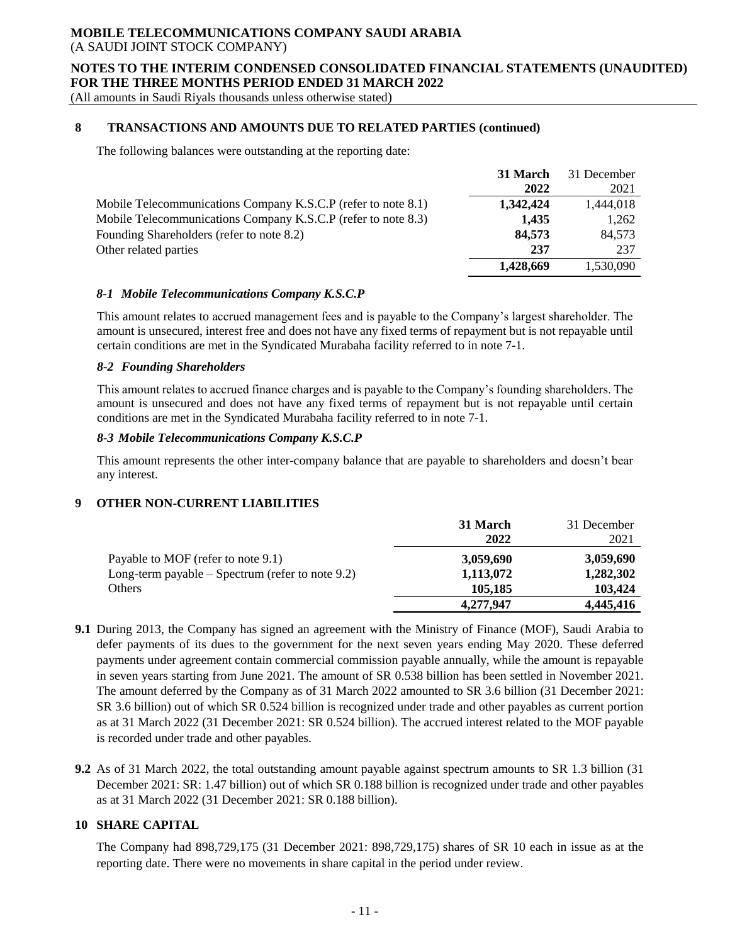#### **NOTES TO THE INTERIM CONDENSED CONSOLIDATED FINANCIAL STATEMENTS (UNAUDITED) FOR THE THREE MONTHS PERIOD ENDED 31 MARCH 2022**

(All amounts in Saudi Riyals thousands unless otherwise stated)

# **8 TRANSACTIONS AND AMOUNTS DUE TO RELATED PARTIES (continued)**

The following balances were outstanding at the reporting date:

|                                                               | 31 March  | 31 December |
|---------------------------------------------------------------|-----------|-------------|
|                                                               | 2022      | 2021        |
| Mobile Telecommunications Company K.S.C.P (refer to note 8.1) | 1,342,424 | 1,444,018   |
| Mobile Telecommunications Company K.S.C.P (refer to note 8.3) | 1,435     | 1,262       |
| Founding Shareholders (refer to note 8.2)                     | 84,573    | 84,573      |
| Other related parties                                         | 237       | 237         |
|                                                               | 1,428,669 | 1,530,090   |

#### *8-1 Mobile Telecommunications Company K.S.C.P*

This amount relates to accrued management fees and is payable to the Company's largest shareholder. The amount is unsecured, interest free and does not have any fixed terms of repayment but is not repayable until certain conditions are met in the Syndicated Murabaha facility referred to in note 7-1.

#### *8-2 Founding Shareholders*

This amount relates to accrued finance charges and is payable to the Company's founding shareholders. The amount is unsecured and does not have any fixed terms of repayment but is not repayable until certain conditions are met in the Syndicated Murabaha facility referred to in note 7-1.

# *8-3 Mobile Telecommunications Company K.S.C.P*

This amount represents the other inter-company balance that are payable to shareholders and doesn't bear any interest.

# **9 OTHER NON-CURRENT LIABILITIES**

|                                                    | 31 March  | 31 December |
|----------------------------------------------------|-----------|-------------|
|                                                    | 2022      | 2021        |
| Payable to MOF (refer to note 9.1)                 | 3,059,690 | 3,059,690   |
| Long-term payable $-$ Spectrum (refer to note 9.2) | 1,113,072 | 1,282,302   |
| Others                                             | 105,185   | 103.424     |
|                                                    | 4,277,947 | 4,445,416   |

- **9.1** During 2013, the Company has signed an agreement with the Ministry of Finance (MOF), Saudi Arabia to defer payments of its dues to the government for the next seven years ending May 2020. These deferred payments under agreement contain commercial commission payable annually, while the amount is repayable in seven years starting from June 2021. The amount of SR 0.538 billion has been settled in November 2021. The amount deferred by the Company as of 31 March 2022 amounted to SR 3.6 billion (31 December 2021: SR 3.6 billion) out of which SR 0.524 billion is recognized under trade and other payables as current portion as at 31 March 2022 (31 December 2021: SR 0.524 billion). The accrued interest related to the MOF payable is recorded under trade and other payables.
- **9.2** As of 31 March 2022, the total outstanding amount payable against spectrum amounts to SR 1.3 billion (31 December 2021: SR: 1.47 billion) out of which SR 0.188 billion is recognized under trade and other payables as at 31 March 2022 (31 December 2021: SR 0.188 billion).

# **10 SHARE CAPITAL**

The Company had 898,729,175 (31 December 2021: 898,729,175) shares of SR 10 each in issue as at the reporting date. There were no movements in share capital in the period under review.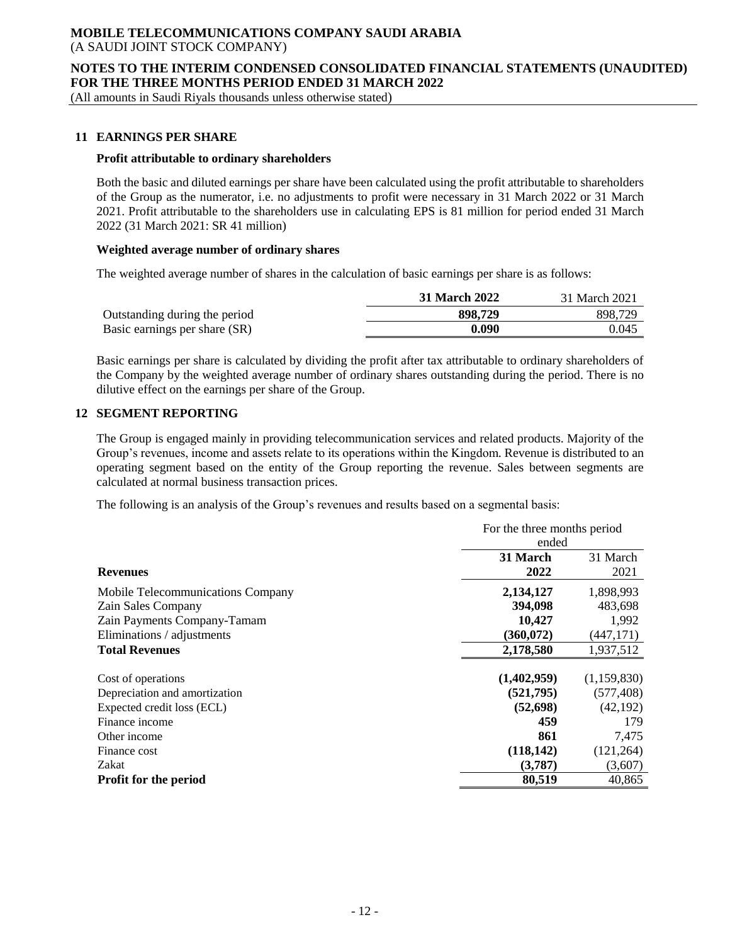### **NOTES TO THE INTERIM CONDENSED CONSOLIDATED FINANCIAL STATEMENTS (UNAUDITED) FOR THE THREE MONTHS PERIOD ENDED 31 MARCH 2022**

(All amounts in Saudi Riyals thousands unless otherwise stated)

## **11 EARNINGS PER SHARE**

#### **Profit attributable to ordinary shareholders**

Both the basic and diluted earnings per share have been calculated using the profit attributable to shareholders of the Group as the numerator, i.e. no adjustments to profit were necessary in 31 March 2022 or 31 March 2021. Profit attributable to the shareholders use in calculating EPS is 81 million for period ended 31 March 2022 (31 March 2021: SR 41 million)

#### **Weighted average number of ordinary shares**

The weighted average number of shares in the calculation of basic earnings per share is as follows:

|                               | 31 March 2022 | 31 March 2021 |
|-------------------------------|---------------|---------------|
| Outstanding during the period | 898,729       | 898.729       |
| Basic earnings per share (SR) | 0.090         | 0.045         |

Basic earnings per share is calculated by dividing the profit after tax attributable to ordinary shareholders of the Company by the weighted average number of ordinary shares outstanding during the period. There is no dilutive effect on the earnings per share of the Group.

## **12 SEGMENT REPORTING**

The Group is engaged mainly in providing telecommunication services and related products. Majority of the Group's revenues, income and assets relate to its operations within the Kingdom. Revenue is distributed to an operating segment based on the entity of the Group reporting the revenue. Sales between segments are calculated at normal business transaction prices.

The following is an analysis of the Group's revenues and results based on a segmental basis:

|                                   | For the three months period<br>ended |                  |  |
|-----------------------------------|--------------------------------------|------------------|--|
| <b>Revenues</b>                   | 31 March<br>2022                     | 31 March<br>2021 |  |
| Mobile Telecommunications Company | 2,134,127                            | 1,898,993        |  |
| Zain Sales Company                | 394,098                              | 483,698          |  |
| Zain Payments Company-Tamam       | 10,427                               | 1,992            |  |
| Eliminations / adjustments        | (360, 072)                           | (447, 171)       |  |
| <b>Total Revenues</b>             | 2,178,580                            | 1,937,512        |  |
| Cost of operations                | (1,402,959)                          | (1,159,830)      |  |
| Depreciation and amortization     | (521,795)                            | (577, 408)       |  |
| Expected credit loss (ECL)        | (52, 698)                            | (42, 192)        |  |
| Finance income                    | 459                                  | 179              |  |
| Other income                      | 861                                  | 7,475            |  |
| Finance cost                      | (118, 142)                           | (121, 264)       |  |
| Zakat                             | (3,787)                              | (3,607)          |  |
| <b>Profit for the period</b>      | 80,519                               | 40,865           |  |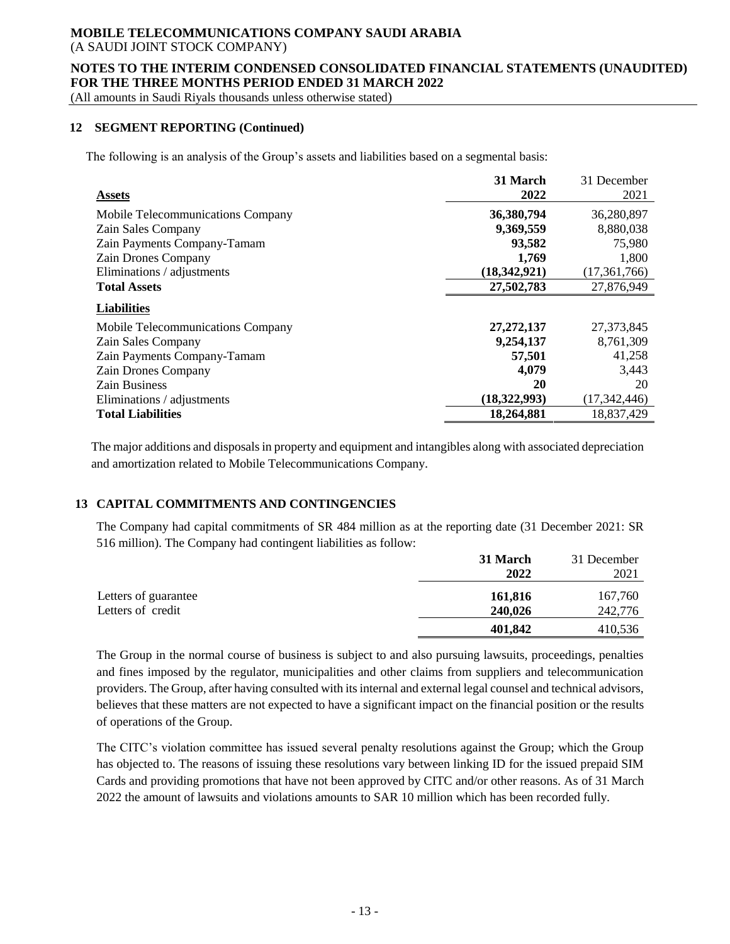# **MOBILE TELECOMMUNICATIONS COMPANY SAUDI ARABIA**

(A SAUDI JOINT STOCK COMPANY)

### **NOTES TO THE INTERIM CONDENSED CONSOLIDATED FINANCIAL STATEMENTS (UNAUDITED) FOR THE THREE MONTHS PERIOD ENDED 31 MARCH 2022**

(All amounts in Saudi Riyals thousands unless otherwise stated)

## **12 SEGMENT REPORTING (Continued)**

The following is an analysis of the Group's assets and liabilities based on a segmental basis:

|                                   | 31 March     | 31 December    |
|-----------------------------------|--------------|----------------|
| <b>Assets</b>                     | 2022         | 2021           |
| Mobile Telecommunications Company | 36,380,794   | 36,280,897     |
| Zain Sales Company                | 9,369,559    | 8,880,038      |
| Zain Payments Company-Tamam       | 93,582       | 75,980         |
| <b>Zain Drones Company</b>        | 1,769        | 1,800          |
| Eliminations / adjustments        | (18,342,921) | (17, 361, 766) |
| <b>Total Assets</b>               | 27,502,783   | 27,876,949     |
| <b>Liabilities</b>                |              |                |
| Mobile Telecommunications Company | 27, 272, 137 | 27,373,845     |
| Zain Sales Company                | 9,254,137    | 8,761,309      |
| Zain Payments Company-Tamam       | 57,501       | 41,258         |
| <b>Zain Drones Company</b>        | 4,079        | 3,443          |
| <b>Zain Business</b>              | 20           | 20             |
| Eliminations / adjustments        | (18,322,993) | (17, 342, 446) |
| <b>Total Liabilities</b>          | 18,264,881   | 18,837,429     |

The major additions and disposals in property and equipment and intangibles along with associated depreciation and amortization related to Mobile Telecommunications Company.

# **13 CAPITAL COMMITMENTS AND CONTINGENCIES**

The Company had capital commitments of SR 484 million as at the reporting date (31 December 2021: SR 516 million). The Company had contingent liabilities as follow:

|                      | 31 March<br>2022 | 31 December<br>2021 |
|----------------------|------------------|---------------------|
| Letters of guarantee | 161,816          | 167,760             |
| Letters of credit    | 240,026          | 242,776             |
|                      | 401,842          | 410,536             |

The Group in the normal course of business is subject to and also pursuing lawsuits, proceedings, penalties and fines imposed by the regulator, municipalities and other claims from suppliers and telecommunication providers. The Group, after having consulted with its internal and external legal counsel and technical advisors, believes that these matters are not expected to have a significant impact on the financial position or the results of operations of the Group.

The CITC's violation committee has issued several penalty resolutions against the Group; which the Group has objected to. The reasons of issuing these resolutions vary between linking ID for the issued prepaid SIM Cards and providing promotions that have not been approved by CITC and/or other reasons. As of 31 March 2022 the amount of lawsuits and violations amounts to SAR 10 million which has been recorded fully.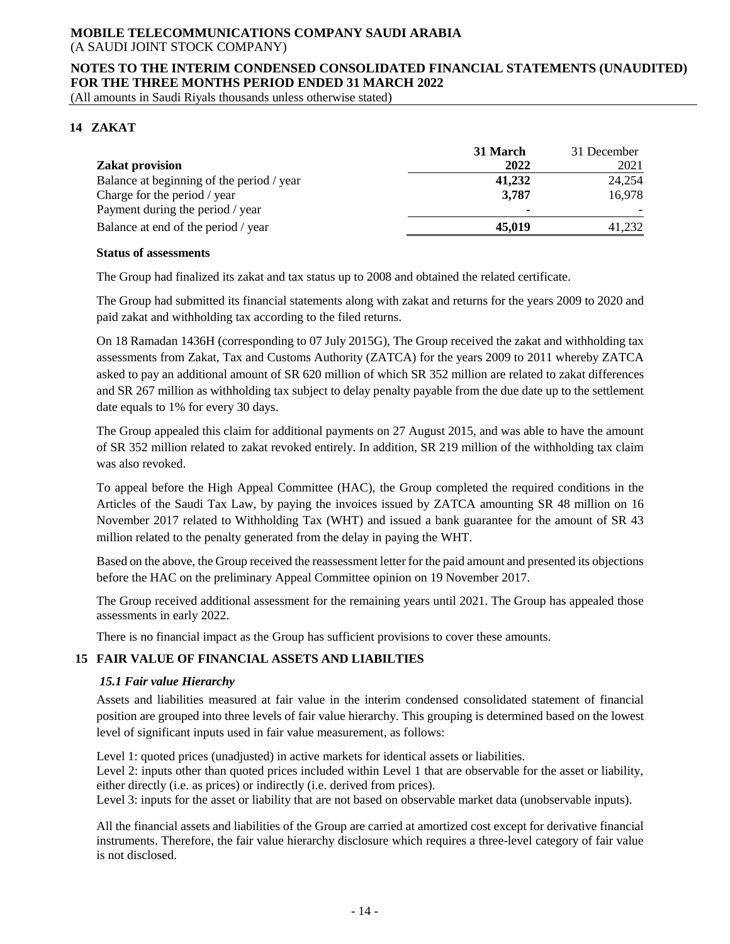### **NOTES TO THE INTERIM CONDENSED CONSOLIDATED FINANCIAL STATEMENTS (UNAUDITED) FOR THE THREE MONTHS PERIOD ENDED 31 MARCH 2022**

(All amounts in Saudi Riyals thousands unless otherwise stated)

# **14 ZAKAT**

|                                           | 31 March       | 31 December |
|-------------------------------------------|----------------|-------------|
| <b>Zakat provision</b>                    | 2022           | 2021        |
| Balance at beginning of the period / year | 41,232         | 24,254      |
| Charge for the period / year              | 3,787          | 16,978      |
| Payment during the period / year          | $\blacksquare$ |             |
| Balance at end of the period / year       | 45,019         | 41,232      |

#### **Status of assessments**

The Group had finalized its zakat and tax status up to 2008 and obtained the related certificate.

The Group had submitted its financial statements along with zakat and returns for the years 2009 to 2020 and paid zakat and withholding tax according to the filed returns.

On 18 Ramadan 1436H (corresponding to 07 July 2015G), The Group received the zakat and withholding tax assessments from Zakat, Tax and Customs Authority (ZATCA) for the years 2009 to 2011 whereby ZATCA asked to pay an additional amount of SR 620 million of which SR 352 million are related to zakat differences and SR 267 million as withholding tax subject to delay penalty payable from the due date up to the settlement date equals to 1% for every 30 days.

The Group appealed this claim for additional payments on 27 August 2015, and was able to have the amount of SR 352 million related to zakat revoked entirely. In addition, SR 219 million of the withholding tax claim was also revoked.

To appeal before the High Appeal Committee (HAC), the Group completed the required conditions in the Articles of the Saudi Tax Law, by paying the invoices issued by ZATCA amounting SR 48 million on 16 November 2017 related to Withholding Tax (WHT) and issued a bank guarantee for the amount of SR 43 million related to the penalty generated from the delay in paying the WHT.

Based on the above, the Group received the reassessment letter for the paid amount and presented its objections before the HAC on the preliminary Appeal Committee opinion on 19 November 2017.

The Group received additional assessment for the remaining years until 2021. The Group has appealed those assessments in early 2022.

There is no financial impact as the Group has sufficient provisions to cover these amounts.

# **15 FAIR VALUE OF FINANCIAL ASSETS AND LIABILTIES**

#### *15.1 Fair value Hierarchy*

Assets and liabilities measured at fair value in the interim condensed consolidated statement of financial position are grouped into three levels of fair value hierarchy. This grouping is determined based on the lowest level of significant inputs used in fair value measurement, as follows:

Level 1: quoted prices (unadjusted) in active markets for identical assets or liabilities.

Level 2: inputs other than quoted prices included within Level 1 that are observable for the asset or liability, either directly (i.e. as prices) or indirectly (i.e. derived from prices).

Level 3: inputs for the asset or liability that are not based on observable market data (unobservable inputs).

All the financial assets and liabilities of the Group are carried at amortized cost except for derivative financial instruments. Therefore, the fair value hierarchy disclosure which requires a three-level category of fair value is not disclosed.